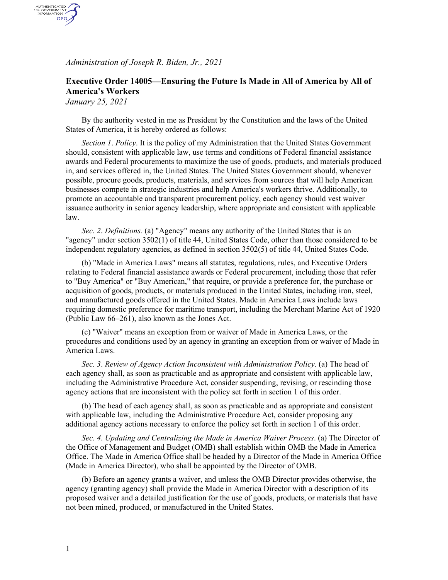*Administration of Joseph R. Biden, Jr., 2021*

## **Executive Order 14005—Ensuring the Future Is Made in All of America by All of America's Workers**

*January 25, 2021*

AUTHENTICATED<br>U.S. GOVERNMENT<br>INFORMATION GPO

> By the authority vested in me as President by the Constitution and the laws of the United States of America, it is hereby ordered as follows:

*Section 1*. *Policy*. It is the policy of my Administration that the United States Government should, consistent with applicable law, use terms and conditions of Federal financial assistance awards and Federal procurements to maximize the use of goods, products, and materials produced in, and services offered in, the United States. The United States Government should, whenever possible, procure goods, products, materials, and services from sources that will help American businesses compete in strategic industries and help America's workers thrive. Additionally, to promote an accountable and transparent procurement policy, each agency should vest waiver issuance authority in senior agency leadership, where appropriate and consistent with applicable law.

*Sec. 2*. *Definitions.* (a) "Agency" means any authority of the United States that is an "agency" under section 3502(1) of title 44, United States Code, other than those considered to be independent regulatory agencies, as defined in section 3502(5) of title 44, United States Code.

(b) "Made in America Laws" means all statutes, regulations, rules, and Executive Orders relating to Federal financial assistance awards or Federal procurement, including those that refer to "Buy America" or "Buy American," that require, or provide a preference for, the purchase or acquisition of goods, products, or materials produced in the United States, including iron, steel, and manufactured goods offered in the United States. Made in America Laws include laws requiring domestic preference for maritime transport, including the Merchant Marine Act of 1920 (Public Law 66–261), also known as the Jones Act.

(c) "Waiver" means an exception from or waiver of Made in America Laws, or the procedures and conditions used by an agency in granting an exception from or waiver of Made in America Laws.

*Sec. 3*. *Review of Agency Action Inconsistent with Administration Policy*. (a) The head of each agency shall, as soon as practicable and as appropriate and consistent with applicable law, including the Administrative Procedure Act, consider suspending, revising, or rescinding those agency actions that are inconsistent with the policy set forth in section 1 of this order.

(b) The head of each agency shall, as soon as practicable and as appropriate and consistent with applicable law, including the Administrative Procedure Act, consider proposing any additional agency actions necessary to enforce the policy set forth in section 1 of this order.

*Sec. 4*. *Updating and Centralizing the Made in America Waiver Process*. (a) The Director of the Office of Management and Budget (OMB) shall establish within OMB the Made in America Office. The Made in America Office shall be headed by a Director of the Made in America Office (Made in America Director), who shall be appointed by the Director of OMB.

(b) Before an agency grants a waiver, and unless the OMB Director provides otherwise, the agency (granting agency) shall provide the Made in America Director with a description of its proposed waiver and a detailed justification for the use of goods, products, or materials that have not been mined, produced, or manufactured in the United States.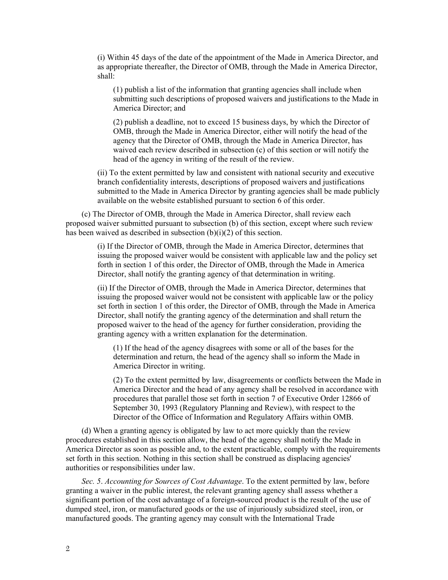(i) Within 45 days of the date of the appointment of the Made in America Director, and as appropriate thereafter, the Director of OMB, through the Made in America Director, shall:

(1) publish a list of the information that granting agencies shall include when submitting such descriptions of proposed waivers and justifications to the Made in America Director; and

(2) publish a deadline, not to exceed 15 business days, by which the Director of OMB, through the Made in America Director, either will notify the head of the agency that the Director of OMB, through the Made in America Director, has waived each review described in subsection (c) of this section or will notify the head of the agency in writing of the result of the review.

(ii) To the extent permitted by law and consistent with national security and executive branch confidentiality interests, descriptions of proposed waivers and justifications submitted to the Made in America Director by granting agencies shall be made publicly available on the website established pursuant to section 6 of this order.

(c) The Director of OMB, through the Made in America Director, shall review each proposed waiver submitted pursuant to subsection (b) of this section, except where such review has been waived as described in subsection  $(b)(i)(2)$  of this section.

> (i) If the Director of OMB, through the Made in America Director, determines that issuing the proposed waiver would be consistent with applicable law and the policy set forth in section 1 of this order, the Director of OMB, through the Made in America Director, shall notify the granting agency of that determination in writing.

> (ii) If the Director of OMB, through the Made in America Director, determines that issuing the proposed waiver would not be consistent with applicable law or the policy set forth in section 1 of this order, the Director of OMB, through the Made in America Director, shall notify the granting agency of the determination and shall return the proposed waiver to the head of the agency for further consideration, providing the granting agency with a written explanation for the determination.

(1) If the head of the agency disagrees with some or all of the bases for the determination and return, the head of the agency shall so inform the Made in America Director in writing.

(2) To the extent permitted by law, disagreements or conflicts between the Made in America Director and the head of any agency shall be resolved in accordance with procedures that parallel those set forth in section 7 of Executive Order 12866 of September 30, 1993 (Regulatory Planning and Review), with respect to the Director of the Office of Information and Regulatory Affairs within OMB.

(d) When a granting agency is obligated by law to act more quickly than the review procedures established in this section allow, the head of the agency shall notify the Made in America Director as soon as possible and, to the extent practicable, comply with the requirements set forth in this section. Nothing in this section shall be construed as displacing agencies' authorities or responsibilities under law.

*Sec. 5*. *Accounting for Sources of Cost Advantage*. To the extent permitted by law, before granting a waiver in the public interest, the relevant granting agency shall assess whether a significant portion of the cost advantage of a foreign-sourced product is the result of the use of dumped steel, iron, or manufactured goods or the use of injuriously subsidized steel, iron, or manufactured goods. The granting agency may consult with the International Trade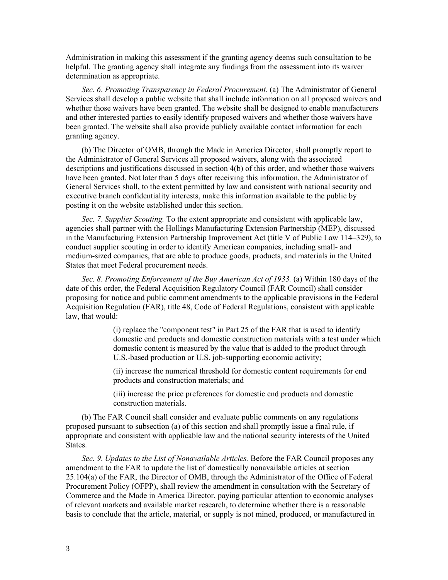Administration in making this assessment if the granting agency deems such consultation to be helpful. The granting agency shall integrate any findings from the assessment into its waiver determination as appropriate.

*Sec. 6*. *Promoting Transparency in Federal Procurement.* (a) The Administrator of General Services shall develop a public website that shall include information on all proposed waivers and whether those waivers have been granted. The website shall be designed to enable manufacturers and other interested parties to easily identify proposed waivers and whether those waivers have been granted. The website shall also provide publicly available contact information for each granting agency.

(b) The Director of OMB, through the Made in America Director, shall promptly report to the Administrator of General Services all proposed waivers, along with the associated descriptions and justifications discussed in section 4(b) of this order, and whether those waivers have been granted. Not later than 5 days after receiving this information, the Administrator of General Services shall, to the extent permitted by law and consistent with national security and executive branch confidentiality interests, make this information available to the public by posting it on the website established under this section.

*Sec. 7*. *Supplier Scouting.* To the extent appropriate and consistent with applicable law, agencies shall partner with the Hollings Manufacturing Extension Partnership (MEP), discussed in the Manufacturing Extension Partnership Improvement Act (title V of Public Law 114–329), to conduct supplier scouting in order to identify American companies, including small- and medium-sized companies, that are able to produce goods, products, and materials in the United States that meet Federal procurement needs.

*Sec. 8*. *Promoting Enforcement of the Buy American Act of 1933.* (a) Within 180 days of the date of this order, the Federal Acquisition Regulatory Council (FAR Council) shall consider proposing for notice and public comment amendments to the applicable provisions in the Federal Acquisition Regulation (FAR), title 48, Code of Federal Regulations, consistent with applicable law, that would:

> (i) replace the "component test" in Part 25 of the FAR that is used to identify domestic end products and domestic construction materials with a test under which domestic content is measured by the value that is added to the product through U.S.-based production or U.S. job-supporting economic activity;

(ii) increase the numerical threshold for domestic content requirements for end products and construction materials; and

(iii) increase the price preferences for domestic end products and domestic construction materials.

(b) The FAR Council shall consider and evaluate public comments on any regulations proposed pursuant to subsection (a) of this section and shall promptly issue a final rule, if appropriate and consistent with applicable law and the national security interests of the United States.

*Sec. 9*. *Updates to the List of Nonavailable Articles.* Before the FAR Council proposes any amendment to the FAR to update the list of domestically nonavailable articles at section 25.104(a) of the FAR, the Director of OMB, through the Administrator of the Office of Federal Procurement Policy (OFPP), shall review the amendment in consultation with the Secretary of Commerce and the Made in America Director, paying particular attention to economic analyses of relevant markets and available market research, to determine whether there is a reasonable basis to conclude that the article, material, or supply is not mined, produced, or manufactured in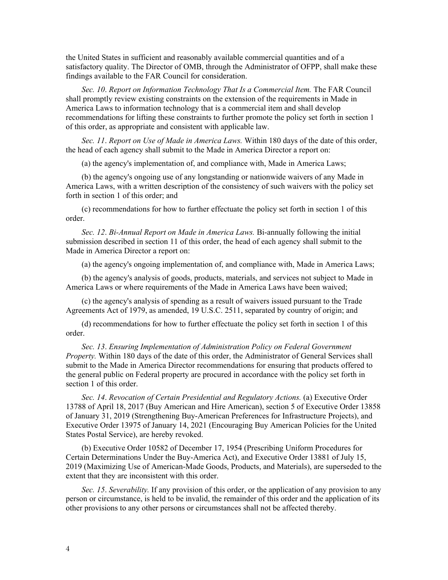the United States in sufficient and reasonably available commercial quantities and of a satisfactory quality. The Director of OMB, through the Administrator of OFPP, shall make these findings available to the FAR Council for consideration.

*Sec. 10*. *Report on Information Technology That Is a Commercial Item.* The FAR Council shall promptly review existing constraints on the extension of the requirements in Made in America Laws to information technology that is a commercial item and shall develop recommendations for lifting these constraints to further promote the policy set forth in section 1 of this order, as appropriate and consistent with applicable law.

*Sec. 11*. *Report on Use of Made in America Laws.* Within 180 days of the date of this order, the head of each agency shall submit to the Made in America Director a report on:

(a) the agency's implementation of, and compliance with, Made in America Laws;

(b) the agency's ongoing use of any longstanding or nationwide waivers of any Made in America Laws, with a written description of the consistency of such waivers with the policy set forth in section 1 of this order; and

(c) recommendations for how to further effectuate the policy set forth in section 1 of this order.

*Sec. 12*. *Bi-Annual Report on Made in America Laws.* Bi-annually following the initial submission described in section 11 of this order, the head of each agency shall submit to the Made in America Director a report on:

(a) the agency's ongoing implementation of, and compliance with, Made in America Laws;

(b) the agency's analysis of goods, products, materials, and services not subject to Made in America Laws or where requirements of the Made in America Laws have been waived;

(c) the agency's analysis of spending as a result of waivers issued pursuant to the Trade Agreements Act of 1979, as amended, 19 U.S.C. 2511, separated by country of origin; and

(d) recommendations for how to further effectuate the policy set forth in section 1 of this order.

*Sec. 13*. *Ensuring Implementation of Administration Policy on Federal Government Property.* Within 180 days of the date of this order, the Administrator of General Services shall submit to the Made in America Director recommendations for ensuring that products offered to the general public on Federal property are procured in accordance with the policy set forth in section 1 of this order.

*Sec. 14*. *Revocation of Certain Presidential and Regulatory Actions.* (a) Executive Order 13788 of April 18, 2017 (Buy American and Hire American), section 5 of Executive Order 13858 of January 31, 2019 (Strengthening Buy-American Preferences for Infrastructure Projects), and Executive Order 13975 of January 14, 2021 (Encouraging Buy American Policies for the United States Postal Service), are hereby revoked.

(b) Executive Order 10582 of December 17, 1954 (Prescribing Uniform Procedures for Certain Determinations Under the Buy-America Act), and Executive Order 13881 of July 15, 2019 (Maximizing Use of American-Made Goods, Products, and Materials), are superseded to the extent that they are inconsistent with this order.

*Sec. 15*. *Severability.* If any provision of this order, or the application of any provision to any person or circumstance, is held to be invalid, the remainder of this order and the application of its other provisions to any other persons or circumstances shall not be affected thereby.